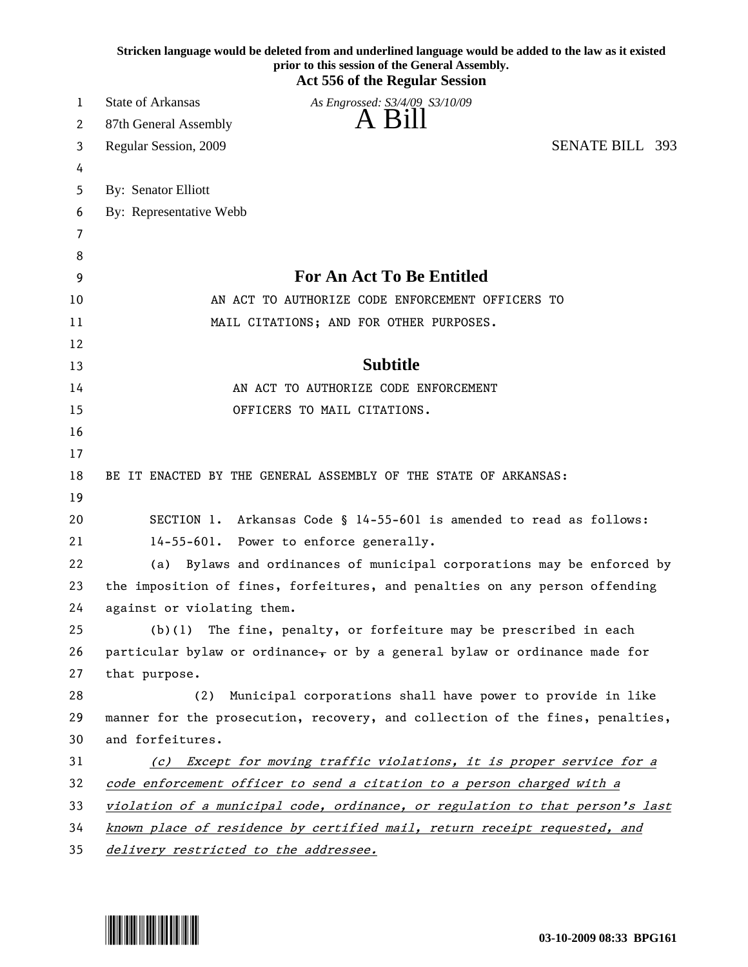| Stricken language would be deleted from and underlined language would be added to the law as it existed<br>prior to this session of the General Assembly.<br><b>Act 556 of the Regular Session</b> |                                                                                                                                                            |  |  |
|----------------------------------------------------------------------------------------------------------------------------------------------------------------------------------------------------|------------------------------------------------------------------------------------------------------------------------------------------------------------|--|--|
| 1                                                                                                                                                                                                  | <b>State of Arkansas</b><br>As Engrossed: S3/4/09 S3/10/09                                                                                                 |  |  |
| 2                                                                                                                                                                                                  | A Bill<br>87th General Assembly                                                                                                                            |  |  |
| 3                                                                                                                                                                                                  | <b>SENATE BILL 393</b><br>Regular Session, 2009                                                                                                            |  |  |
| 4                                                                                                                                                                                                  |                                                                                                                                                            |  |  |
| 5                                                                                                                                                                                                  | By: Senator Elliott                                                                                                                                        |  |  |
| 6                                                                                                                                                                                                  | By: Representative Webb                                                                                                                                    |  |  |
| 7                                                                                                                                                                                                  |                                                                                                                                                            |  |  |
| 8                                                                                                                                                                                                  |                                                                                                                                                            |  |  |
| 9                                                                                                                                                                                                  | <b>For An Act To Be Entitled</b>                                                                                                                           |  |  |
| 10                                                                                                                                                                                                 | AN ACT TO AUTHORIZE CODE ENFORCEMENT OFFICERS TO                                                                                                           |  |  |
| 11                                                                                                                                                                                                 | MAIL CITATIONS; AND FOR OTHER PURPOSES.                                                                                                                    |  |  |
| 12                                                                                                                                                                                                 |                                                                                                                                                            |  |  |
| 13                                                                                                                                                                                                 | <b>Subtitle</b>                                                                                                                                            |  |  |
| 14                                                                                                                                                                                                 | AN ACT TO AUTHORIZE CODE ENFORCEMENT                                                                                                                       |  |  |
| 15                                                                                                                                                                                                 | OFFICERS TO MAIL CITATIONS.                                                                                                                                |  |  |
| 16                                                                                                                                                                                                 |                                                                                                                                                            |  |  |
| 17                                                                                                                                                                                                 |                                                                                                                                                            |  |  |
| 18                                                                                                                                                                                                 | BE IT ENACTED BY THE GENERAL ASSEMBLY OF THE STATE OF ARKANSAS:                                                                                            |  |  |
| 19                                                                                                                                                                                                 |                                                                                                                                                            |  |  |
| 20                                                                                                                                                                                                 | SECTION 1. Arkansas Code § 14-55-601 is amended to read as follows:                                                                                        |  |  |
| 21                                                                                                                                                                                                 | 14-55-601. Power to enforce generally.                                                                                                                     |  |  |
| 22                                                                                                                                                                                                 | (a) Bylaws and ordinances of municipal corporations may be enforced by                                                                                     |  |  |
| 23                                                                                                                                                                                                 | the imposition of fines, forfeitures, and penalties on any person offending                                                                                |  |  |
| 24                                                                                                                                                                                                 | against or violating them.                                                                                                                                 |  |  |
| 25                                                                                                                                                                                                 | The fine, penalty, or forfeiture may be prescribed in each<br>(b)(1)                                                                                       |  |  |
| 26                                                                                                                                                                                                 | particular bylaw or ordinance, or by a general bylaw or ordinance made for                                                                                 |  |  |
| 27                                                                                                                                                                                                 | that purpose.                                                                                                                                              |  |  |
| 28                                                                                                                                                                                                 | Municipal corporations shall have power to provide in like<br>(2)                                                                                          |  |  |
| 29                                                                                                                                                                                                 | manner for the prosecution, recovery, and collection of the fines, penalties,                                                                              |  |  |
| 30                                                                                                                                                                                                 | and forfeitures.                                                                                                                                           |  |  |
| 31                                                                                                                                                                                                 | (c) Except for moving traffic violations, it is proper service for a                                                                                       |  |  |
| 32<br>33                                                                                                                                                                                           | code enforcement officer to send a citation to a person charged with a                                                                                     |  |  |
| 34                                                                                                                                                                                                 | violation of a municipal code, ordinance, or regulation to that person's last<br>known place of residence by certified mail, return receipt requested, and |  |  |
| 35                                                                                                                                                                                                 | delivery restricted to the addressee.                                                                                                                      |  |  |